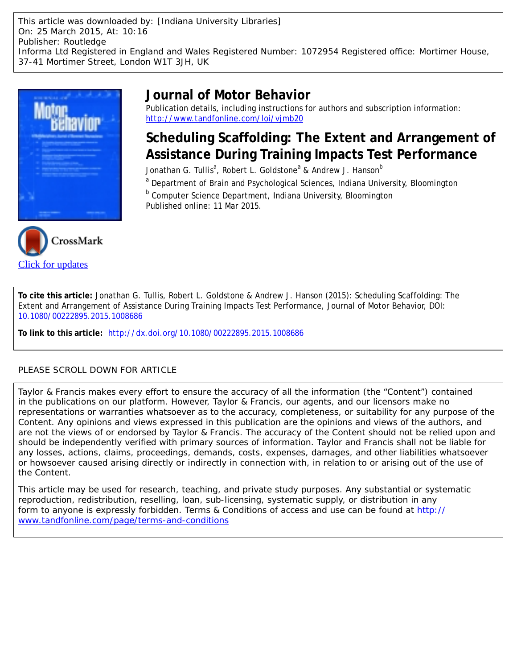This article was downloaded by: [Indiana University Libraries] On: 25 March 2015, At: 10:16 Publisher: Routledge Informa Ltd Registered in England and Wales Registered Number: 1072954 Registered office: Mortimer House, 37-41 Mortimer Street, London W1T 3JH, UK



## **Journal of Motor Behavior**

Publication details, including instructions for authors and subscription information: <http://www.tandfonline.com/loi/vjmb20>

# **Scheduling Scaffolding: The Extent and Arrangement of Assistance During Training Impacts Test Performance**

Jonathan G. Tullis<sup>a</sup>, Robert L. Goldstone<sup>a</sup> & Andrew J. Hanson<sup>b</sup>

<sup>a</sup> Department of Brain and Psychological Sciences, Indiana University, Bloomington

**b Computer Science Department, Indiana University, Bloomington** Published online: 11 Mar 2015.



**To cite this article:** Jonathan G. Tullis, Robert L. Goldstone & Andrew J. Hanson (2015): Scheduling Scaffolding: The Extent and Arrangement of Assistance During Training Impacts Test Performance, Journal of Motor Behavior, DOI: [10.1080/00222895.2015.1008686](http://www.tandfonline.com/action/showCitFormats?doi=10.1080/00222895.2015.1008686)

**To link to this article:** <http://dx.doi.org/10.1080/00222895.2015.1008686>

## PLEASE SCROLL DOWN FOR ARTICLE

Taylor & Francis makes every effort to ensure the accuracy of all the information (the "Content") contained in the publications on our platform. However, Taylor & Francis, our agents, and our licensors make no representations or warranties whatsoever as to the accuracy, completeness, or suitability for any purpose of the Content. Any opinions and views expressed in this publication are the opinions and views of the authors, and are not the views of or endorsed by Taylor & Francis. The accuracy of the Content should not be relied upon and should be independently verified with primary sources of information. Taylor and Francis shall not be liable for any losses, actions, claims, proceedings, demands, costs, expenses, damages, and other liabilities whatsoever or howsoever caused arising directly or indirectly in connection with, in relation to or arising out of the use of the Content.

This article may be used for research, teaching, and private study purposes. Any substantial or systematic reproduction, redistribution, reselling, loan, sub-licensing, systematic supply, or distribution in any form to anyone is expressly forbidden. Terms & Conditions of access and use can be found at [http://](http://www.tandfonline.com/page/terms-and-conditions) [www.tandfonline.com/page/terms-and-conditions](http://www.tandfonline.com/page/terms-and-conditions)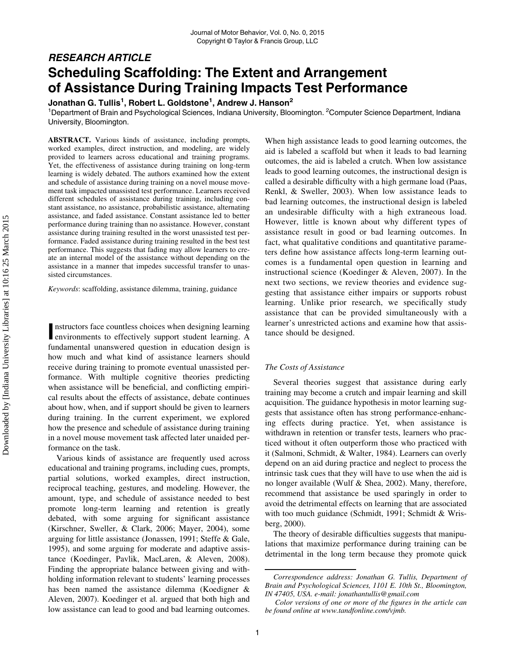## RESEARCH ARTICLE Scheduling Scaffolding: The Extent and Arrangement of Assistance During Training Impacts Test Performance

Jonathan G. Tullis<sup>1</sup>, Robert L. Goldstone<sup>1</sup>, Andrew J. Hanson<sup>2</sup>

<sup>1</sup>Department of Brain and Psychological Sciences, Indiana University, Bloomington. <sup>2</sup>Computer Science Department, Indiana University, Bloomington.

ABSTRACT. Various kinds of assistance, including prompts, worked examples, direct instruction, and modeling, are widely provided to learners across educational and training programs. Yet, the effectiveness of assistance during training on long-term learning is widely debated. The authors examined how the extent and schedule of assistance during training on a novel mouse movement task impacted unassisted test performance. Learners received different schedules of assistance during training, including constant assistance, no assistance, probabilistic assistance, alternating assistance, and faded assistance. Constant assistance led to better performance during training than no assistance. However, constant assistance during training resulted in the worst unassisted test performance. Faded assistance during training resulted in the best test performance. This suggests that fading may allow learners to create an internal model of the assistance without depending on the assistance in a manner that impedes successful transfer to unassisted circumstances.

Keywords: scaffolding, assistance dilemma, training, guidance

nstructors face countless choices when designing learning<br>environments to effectively support student learning. A nstructors face countless choices when designing learning fundamental unanswered question in education design is how much and what kind of assistance learners should receive during training to promote eventual unassisted performance. With multiple cognitive theories predicting when assistance will be beneficial, and conflicting empirical results about the effects of assistance, debate continues about how, when, and if support should be given to learners during training. In the current experiment, we explored how the presence and schedule of assistance during training in a novel mouse movement task affected later unaided performance on the task.

Various kinds of assistance are frequently used across educational and training programs, including cues, prompts, partial solutions, worked examples, direct instruction, reciprocal teaching, gestures, and modeling. However, the amount, type, and schedule of assistance needed to best promote long-term learning and retention is greatly debated, with some arguing for significant assistance (Kirschner, Sweller, & Clark, 2006; Mayer, 2004), some arguing for little assistance (Jonassen, 1991; Steffe & Gale, 1995), and some arguing for moderate and adaptive assistance (Koedinger, Pavlik, MacLaren, & Aleven, 2008). Finding the appropriate balance between giving and withholding information relevant to students' learning processes has been named the assistance dilemma (Koedigner & Aleven, 2007). Koedinger et al. argued that both high and low assistance can lead to good and bad learning outcomes.

When high assistance leads to good learning outcomes, the aid is labeled a scaffold but when it leads to bad learning outcomes, the aid is labeled a crutch. When low assistance leads to good learning outcomes, the instructional design is called a desirable difficulty with a high germane load (Paas, Renkl, & Sweller, 2003). When low assistance leads to bad learning outcomes, the instructional design is labeled an undesirable difficulty with a high extraneous load. However, little is known about why different types of assistance result in good or bad learning outcomes. In fact, what qualitative conditions and quantitative parameters define how assistance affects long-term learning outcomes is a fundamental open question in learning and instructional science (Koedinger & Aleven, 2007). In the next two sections, we review theories and evidence suggesting that assistance either impairs or supports robust learning. Unlike prior research, we specifically study assistance that can be provided simultaneously with a learner's unrestricted actions and examine how that assistance should be designed.

## The Costs of Assistance

Several theories suggest that assistance during early training may become a crutch and impair learning and skill acquisition. The guidance hypothesis in motor learning suggests that assistance often has strong performance-enhancing effects during practice. Yet, when assistance is withdrawn in retention or transfer tests, learners who practiced without it often outperform those who practiced with it (Salmoni, Schmidt, & Walter, 1984). Learners can overly depend on an aid during practice and neglect to process the intrinsic task cues that they will have to use when the aid is no longer available (Wulf & Shea, 2002). Many, therefore, recommend that assistance be used sparingly in order to avoid the detrimental effects on learning that are associated with too much guidance (Schmidt, 1991; Schmidt & Wrisberg, 2000).

The theory of desirable difficulties suggests that manipulations that maximize performance during training can be detrimental in the long term because they promote quick

Correspondence address: Jonathan G. Tullis, Department of Brain and Psychological Sciences, 1101 E. 10th St., Bloomington, IN 47405, USA. e-mail: jonathantullis@gmail.com

Color versions of one or more of the figures in the article can be found online at www.tandfonline.com/vjmb.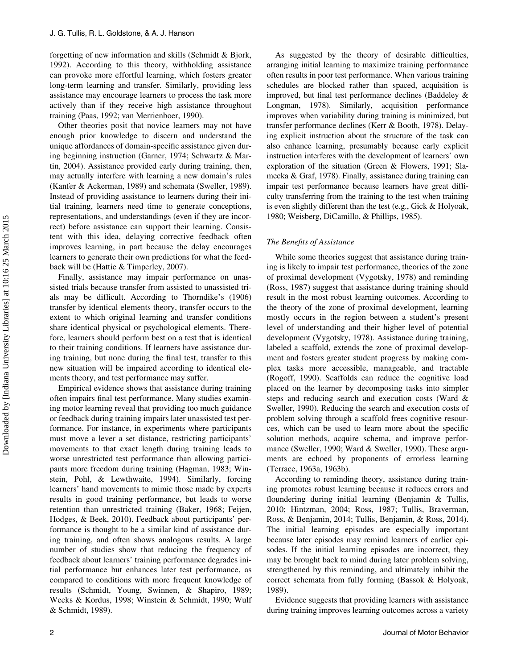forgetting of new information and skills (Schmidt & Bjork, 1992). According to this theory, withholding assistance can provoke more effortful learning, which fosters greater long-term learning and transfer. Similarly, providing less assistance may encourage learners to process the task more actively than if they receive high assistance throughout training (Paas, 1992; van Merrienboer, 1990).

Other theories posit that novice learners may not have enough prior knowledge to discern and understand the unique affordances of domain-specific assistance given during beginning instruction (Garner, 1974; Schwartz & Martin, 2004). Assistance provided early during training, then, may actually interfere with learning a new domain's rules (Kanfer & Ackerman, 1989) and schemata (Sweller, 1989). Instead of providing assistance to learners during their initial training, learners need time to generate conceptions, representations, and understandings (even if they are incorrect) before assistance can support their learning. Consistent with this idea, delaying corrective feedback often improves learning, in part because the delay encourages learners to generate their own predictions for what the feedback will be (Hattie & Timperley, 2007).

Finally, assistance may impair performance on unassisted trials because transfer from assisted to unassisted trials may be difficult. According to Thorndike's (1906) transfer by identical elements theory, transfer occurs to the extent to which original learning and transfer conditions share identical physical or psychological elements. Therefore, learners should perform best on a test that is identical to their training conditions. If learners have assistance during training, but none during the final test, transfer to this new situation will be impaired according to identical elements theory, and test performance may suffer.

Empirical evidence shows that assistance during training often impairs final test performance. Many studies examining motor learning reveal that providing too much guidance or feedback during training impairs later unassisted test performance. For instance, in experiments where participants must move a lever a set distance, restricting participants' movements to that exact length during training leads to worse unrestricted test performance than allowing participants more freedom during training (Hagman, 1983; Winstein, Pohl, & Lewthwaite, 1994). Similarly, forcing learners' hand movements to mimic those made by experts results in good training performance, but leads to worse retention than unrestricted training (Baker, 1968; Feijen, Hodges, & Beek, 2010). Feedback about participants' performance is thought to be a similar kind of assistance during training, and often shows analogous results. A large number of studies show that reducing the frequency of feedback about learners' training performance degrades initial performance but enhances later test performance, as compared to conditions with more frequent knowledge of results (Schmidt, Young, Swinnen, & Shapiro, 1989; Weeks & Kordus, 1998; Winstein & Schmidt, 1990; Wulf & Schmidt, 1989).

As suggested by the theory of desirable difficulties, arranging initial learning to maximize training performance often results in poor test performance. When various training schedules are blocked rather than spaced, acquisition is improved, but final test performance declines (Baddeley & Longman, 1978). Similarly, acquisition performance improves when variability during training is minimized, but transfer performance declines (Kerr & Booth, 1978). Delaying explicit instruction about the structure of the task can also enhance learning, presumably because early explicit instruction interferes with the development of learners' own exploration of the situation (Green & Flowers, 1991; Slamecka & Graf, 1978). Finally, assistance during training can impair test performance because learners have great difficulty transferring from the training to the test when training is even slightly different than the test (e.g., Gick & Holyoak, 1980; Weisberg, DiCamillo, & Phillips, 1985).

## The Benefits of Assistance

While some theories suggest that assistance during training is likely to impair test performance, theories of the zone of proximal development (Vygotsky, 1978) and reminding (Ross, 1987) suggest that assistance during training should result in the most robust learning outcomes. According to the theory of the zone of proximal development, learning mostly occurs in the region between a student's present level of understanding and their higher level of potential development (Vygotsky, 1978). Assistance during training, labeled a scaffold, extends the zone of proximal development and fosters greater student progress by making complex tasks more accessible, manageable, and tractable (Rogoff, 1990). Scaffolds can reduce the cognitive load placed on the learner by decomposing tasks into simpler steps and reducing search and execution costs (Ward & Sweller, 1990). Reducing the search and execution costs of problem solving through a scaffold frees cognitive resources, which can be used to learn more about the specific solution methods, acquire schema, and improve performance (Sweller, 1990; Ward & Sweller, 1990). These arguments are echoed by proponents of errorless learning (Terrace, 1963a, 1963b).

According to reminding theory, assistance during training promotes robust learning because it reduces errors and floundering during initial learning (Benjamin & Tullis, 2010; Hintzman, 2004; Ross, 1987; Tullis, Braverman, Ross, & Benjamin, 2014; Tullis, Benjamin, & Ross, 2014). The initial learning episodes are especially important because later episodes may remind learners of earlier episodes. If the initial learning episodes are incorrect, they may be brought back to mind during later problem solving, strengthened by this reminding, and ultimately inhibit the correct schemata from fully forming (Bassok & Holyoak, 1989).

Evidence suggests that providing learners with assistance during training improves learning outcomes across a variety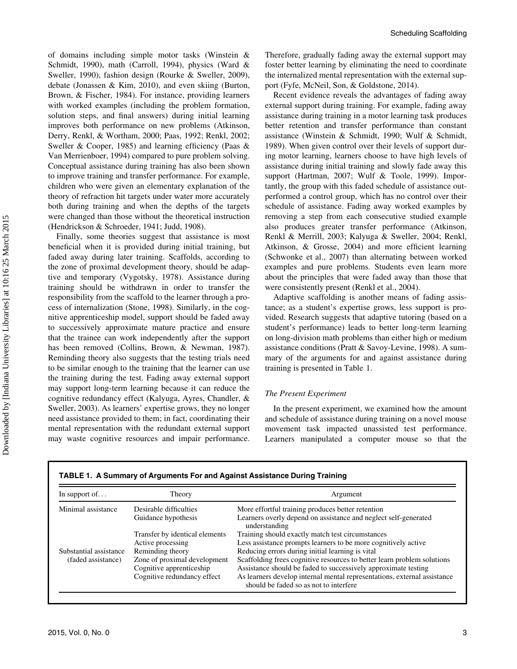of domains including simple motor tasks (Winstein & Schmidt, 1990), math (Carroll, 1994), physics (Ward & Sweller, 1990), fashion design (Rourke & Sweller, 2009), debate (Jonassen & Kim, 2010), and even skiing (Burton, Brown, & Fischer, 1984). For instance, providing learners with worked examples (including the problem formation, solution steps, and final answers) during initial learning improves both performance on new problems (Atkinson, Derry, Renkl, & Wortham, 2000; Paas, 1992; Renkl, 2002; Sweller & Cooper, 1985) and learning efficiency (Paas & Van Merrienboer, 1994) compared to pure problem solving. Conceptual assistance during training has also been shown to improve training and transfer performance. For example, children who were given an elementary explanation of the theory of refraction hit targets under water more accurately both during training and when the depths of the targets were changed than those without the theoretical instruction (Hendrickson & Schroeder, 1941; Judd, 1908).

Finally, some theories suggest that assistance is most beneficial when it is provided during initial training, but faded away during later training. Scaffolds, according to the zone of proximal development theory, should be adaptive and temporary (Vygotsky, 1978). Assistance during training should be withdrawn in order to transfer the responsibility from the scaffold to the learner through a process of internalization (Stone, 1998). Similarly, in the cognitive apprenticeship model, support should be faded away to successively approximate mature practice and ensure that the trainee can work independently after the support has been removed (Collins, Brown, & Newman, 1987). Reminding theory also suggests that the testing trials need to be similar enough to the training that the learner can use the training during the test. Fading away external support may support long-term learning because it can reduce the cognitive redundancy effect (Kalyuga, Ayres, Chandler, & Sweller, 2003). As learners' expertise grows, they no longer need assistance provided to them; in fact, coordinating their mental representation with the redundant external support may waste cognitive resources and impair performance.

Therefore, gradually fading away the external support may foster better learning by eliminating the need to coordinate the internalized mental representation with the external support (Fyfe, McNeil, Son, & Goldstone, 2014).

Recent evidence reveals the advantages of fading away external support during training. For example, fading away assistance during training in a motor learning task produces better retention and transfer performance than constant assistance (Winstein & Schmidt, 1990; Wulf & Schmidt, 1989). When given control over their levels of support during motor learning, learners choose to have high levels of assistance during initial training and slowly fade away this support (Hartman, 2007; Wulf & Toole, 1999). Importantly, the group with this faded schedule of assistance outperformed a control group, which has no control over their schedule of assistance. Fading away worked examples by removing a step from each consecutive studied example also produces greater transfer performance (Atkinson, Renkl & Merrill, 2003; Kalyuga & Sweller, 2004; Renkl, Atkinson, & Grosse, 2004) and more efficient learning (Schwonke et al., 2007) than alternating between worked examples and pure problems. Students even learn more about the principles that were faded away than those that were consistently present (Renkl et al., 2004).

Adaptive scaffolding is another means of fading assistance; as a student's expertise grows, less support is provided. Research suggests that adaptive tutoring (based on a student's performance) leads to better long-term learning on long-division math problems than either high or medium assistance conditions (Pratt & Savoy-Levine, 1998). A summary of the arguments for and against assistance during training is presented in Table 1.

#### The Present Experiment

In the present experiment, we examined how the amount and schedule of assistance during training on a novel mouse movement task impacted unassisted test performance. Learners manipulated a computer mouse so that the

| In support of          | Theory                         | Argument                                                                                                           |
|------------------------|--------------------------------|--------------------------------------------------------------------------------------------------------------------|
| Minimal assistance     | Desirable difficulties         | More effortful training produces better retention                                                                  |
|                        | Guidance hypothesis            | Learners overly depend on assistance and neglect self-generated<br>understanding                                   |
|                        | Transfer by identical elements | Training should exactly match test circumstances                                                                   |
|                        | Active processing              | Less assistance prompts learners to be more cognitively active                                                     |
| Substantial assistance | Reminding theory               | Reducing errors during initial learning is vital                                                                   |
| (faded assistance)     | Zone of proximal development   | Scaffolding frees cognitive resources to better learn problem solutions                                            |
|                        | Cognitive apprenticeship       | Assistance should be faded to successively approximate testing                                                     |
|                        | Cognitive redundancy effect    | As learners develop internal mental representations, external assistance<br>should be faded so as not to interfere |

TABLE 1. A Summary of Arguments For and Against Assistance During Training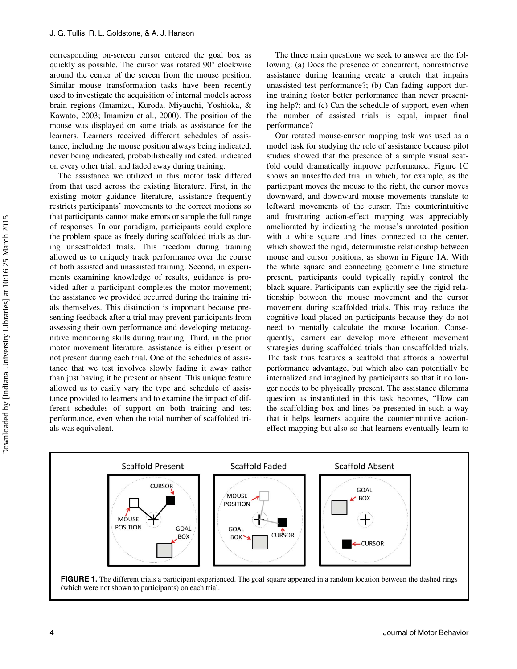corresponding on-screen cursor entered the goal box as quickly as possible. The cursor was rotated  $90^\circ$  clockwise around the center of the screen from the mouse position. Similar mouse transformation tasks have been recently used to investigate the acquisition of internal models across brain regions (Imamizu, Kuroda, Miyauchi, Yoshioka, & Kawato, 2003; Imamizu et al., 2000). The position of the mouse was displayed on some trials as assistance for the learners. Learners received different schedules of assistance, including the mouse position always being indicated, never being indicated, probabilistically indicated, indicated on every other trial, and faded away during training.

The assistance we utilized in this motor task differed from that used across the existing literature. First, in the existing motor guidance literature, assistance frequently restricts participants' movements to the correct motions so that participants cannot make errors or sample the full range of responses. In our paradigm, participants could explore the problem space as freely during scaffolded trials as during unscaffolded trials. This freedom during training allowed us to uniquely track performance over the course of both assisted and unassisted training. Second, in experiments examining knowledge of results, guidance is provided after a participant completes the motor movement; the assistance we provided occurred during the training trials themselves. This distinction is important because presenting feedback after a trial may prevent participants from assessing their own performance and developing metacognitive monitoring skills during training. Third, in the prior motor movement literature, assistance is either present or not present during each trial. One of the schedules of assistance that we test involves slowly fading it away rather than just having it be present or absent. This unique feature allowed us to easily vary the type and schedule of assistance provided to learners and to examine the impact of different schedules of support on both training and test performance, even when the total number of scaffolded trials was equivalent.

The three main questions we seek to answer are the following: (a) Does the presence of concurrent, nonrestrictive assistance during learning create a crutch that impairs unassisted test performance?; (b) Can fading support during training foster better performance than never presenting help?; and (c) Can the schedule of support, even when the number of assisted trials is equal, impact final performance?

Our rotated mouse-cursor mapping task was used as a model task for studying the role of assistance because pilot studies showed that the presence of a simple visual scaffold could dramatically improve performance. Figure 1C shows an unscaffolded trial in which, for example, as the participant moves the mouse to the right, the cursor moves downward, and downward mouse movements translate to leftward movements of the cursor. This counterintuitive and frustrating action-effect mapping was appreciably ameliorated by indicating the mouse's unrotated position with a white square and lines connected to the center, which showed the rigid, deterministic relationship between mouse and cursor positions, as shown in Figure 1A. With the white square and connecting geometric line structure present, participants could typically rapidly control the black square. Participants can explicitly see the rigid relationship between the mouse movement and the cursor movement during scaffolded trials. This may reduce the cognitive load placed on participants because they do not need to mentally calculate the mouse location. Consequently, learners can develop more efficient movement strategies during scaffolded trials than unscaffolded trials. The task thus features a scaffold that affords a powerful performance advantage, but which also can potentially be internalized and imagined by participants so that it no longer needs to be physically present. The assistance dilemma question as instantiated in this task becomes, "How can the scaffolding box and lines be presented in such a way that it helps learners acquire the counterintuitive actioneffect mapping but also so that learners eventually learn to



FIGURE 1. The different trials a participant experienced. The goal square appeared in a random location between the dashed rings (which were not shown to participants) on each trial.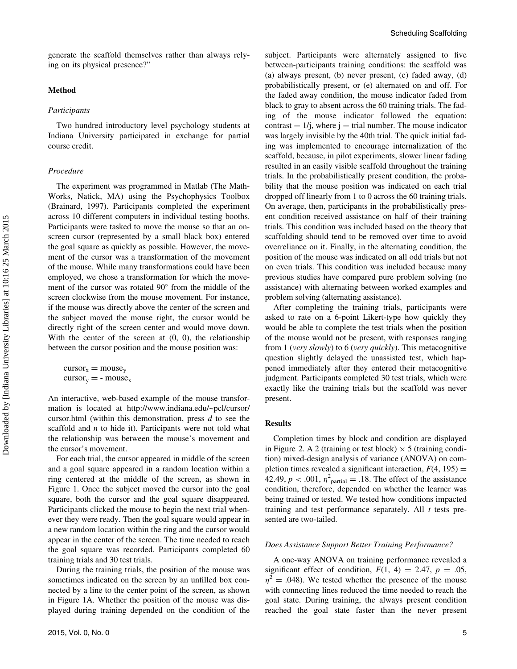generate the scaffold themselves rather than always relying on its physical presence?"

#### Method

#### Participants

Two hundred introductory level psychology students at Indiana University participated in exchange for partial course credit.

#### Procedure

The experiment was programmed in Matlab (The Math-Works, Natick, MA) using the Psychophysics Toolbox (Brainard, 1997). Participants completed the experiment across 10 different computers in individual testing booths. Participants were tasked to move the mouse so that an onscreen cursor (represented by a small black box) entered the goal square as quickly as possible. However, the movement of the cursor was a transformation of the movement of the mouse. While many transformations could have been employed, we chose a transformation for which the movement of the cursor was rotated  $90^\circ$  from the middle of the screen clockwise from the mouse movement. For instance, if the mouse was directly above the center of the screen and the subject moved the mouse right, the cursor would be directly right of the screen center and would move down. With the center of the screen at  $(0, 0)$ , the relationship between the cursor position and the mouse position was:

```
cursor<sub>x</sub> = mouse<sub>y</sub>cursor_v = - mouse<sub>x</sub>
```
An interactive, web-based example of the mouse transformation is located at http://www.indiana.edu/~pcl/cursor/ cursor.html (within this demonstration, press  $d$  to see the scaffold and  $n$  to hide it). Participants were not told what the relationship was between the mouse's movement and the cursor's movement.

For each trial, the cursor appeared in middle of the screen and a goal square appeared in a random location within a ring centered at the middle of the screen, as shown in Figure 1. Once the subject moved the cursor into the goal square, both the cursor and the goal square disappeared. Participants clicked the mouse to begin the next trial whenever they were ready. Then the goal square would appear in a new random location within the ring and the cursor would appear in the center of the screen. The time needed to reach the goal square was recorded. Participants completed 60 training trials and 30 test trials.

During the training trials, the position of the mouse was sometimes indicated on the screen by an unfilled box connected by a line to the center point of the screen, as shown in Figure 1A. Whether the position of the mouse was displayed during training depended on the condition of the

subject. Participants were alternately assigned to five between-participants training conditions: the scaffold was (a) always present, (b) never present, (c) faded away, (d) probabilistically present, or (e) alternated on and off. For the faded away condition, the mouse indicator faded from black to gray to absent across the 60 training trials. The fading of the mouse indicator followed the equation: contrast  $= 1/j$ , where j  $=$  trial number. The mouse indicator was largely invisible by the 40th trial. The quick initial fading was implemented to encourage internalization of the scaffold, because, in pilot experiments, slower linear fading resulted in an easily visible scaffold throughout the training trials. In the probabilistically present condition, the probability that the mouse position was indicated on each trial dropped off linearly from 1 to 0 across the 60 training trials. On average, then, participants in the probabilistically present condition received assistance on half of their training trials. This condition was included based on the theory that scaffolding should tend to be removed over time to avoid overreliance on it. Finally, in the alternating condition, the position of the mouse was indicated on all odd trials but not on even trials. This condition was included because many previous studies have compared pure problem solving (no assistance) with alternating between worked examples and problem solving (alternating assistance).

After completing the training trials, participants were asked to rate on a 6-point Likert-type how quickly they would be able to complete the test trials when the position of the mouse would not be present, with responses ranging from 1 (very slowly) to 6 (very quickly). This metacognitive question slightly delayed the unassisted test, which happened immediately after they entered their metacognitive judgment. Participants completed 30 test trials, which were exactly like the training trials but the scaffold was never present.

## Results

Completion times by block and condition are displayed in Figure 2. A 2 (training or test block)  $\times$  5 (training condition) mixed-design analysis of variance (ANOVA) on completion times revealed a significant interaction,  $F(4, 195) =$ 42.49,  $p < .001$ ,  $\eta^2$ <sub>partial</sub> = .18. The effect of the assistance condition, therefore, depended on whether the learner was being trained or tested. We tested how conditions impacted training and test performance separately. All  $t$  tests presented are two-tailed.

## Does Assistance Support Better Training Performance?

A one-way ANOVA on training performance revealed a significant effect of condition,  $F(1, 4) = 2.47$ ,  $p = .05$ ,  $\eta^2$  = .048). We tested whether the presence of the mouse with connecting lines reduced the time needed to reach the goal state. During training, the always present condition reached the goal state faster than the never present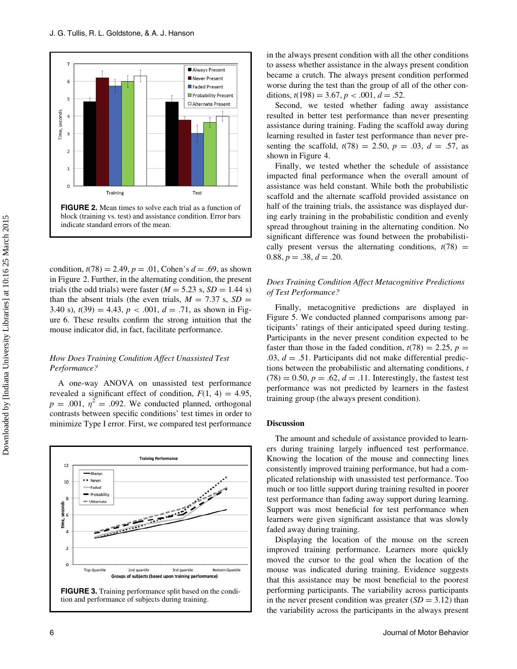

condition,  $t(78) = 2.49$ ,  $p = .01$ , Cohen's  $d = .69$ , as shown in Figure 2. Further, in the alternating condition, the present trials (the odd trials) were faster  $(M = 5.23 \text{ s}, SD = 1.44 \text{ s})$ than the absent trials (the even trials,  $M = 7.37$  s,  $SD =$ 3.40 s),  $t(39) = 4.43$ ,  $p < .001$ ,  $d = .71$ , as shown in Figure 6. These results confirm the strong intuition that the mouse indicator did, in fact, facilitate performance.

## How Does Training Condition Affect Unassisted Test Performance?

A one-way ANOVA on unassisted test performance revealed a significant effect of condition,  $F(1, 4) = 4.95$ ,  $p = .001$ ,  $\eta^2 = .092$ . We conducted planned, orthogonal contrasts between specific conditions' test times in order to minimize Type I error. First, we compared test performance



in the always present condition with all the other conditions to assess whether assistance in the always present condition became a crutch. The always present condition performed worse during the test than the group of all of the other conditions,  $t(198) = 3.67$ ,  $p < .001$ ,  $d = .52$ .

Second, we tested whether fading away assistance resulted in better test performance than never presenting assistance during training. Fading the scaffold away during learning resulted in faster test performance than never presenting the scaffold,  $t(78) = 2.50$ ,  $p = .03$ ,  $d = .57$ , as shown in Figure 4.

Finally, we tested whether the schedule of assistance impacted final performance when the overall amount of assistance was held constant. While both the probabilistic scaffold and the alternate scaffold provided assistance on half of the training trials, the assistance was displayed during early training in the probabilistic condition and evenly spread throughout training in the alternating condition. No significant difference was found between the probabilistically present versus the alternating conditions,  $t(78)$  = 0.88,  $p = .38$ ,  $d = .20$ .

## Does Training Condition Affect Metacognitive Predictions of Test Performance?

Finally, metacognitive predictions are displayed in Figure 5. We conducted planned comparisons among participants' ratings of their anticipated speed during testing. Participants in the never present condition expected to be faster than those in the faded condition,  $t(78) = 2.25$ ,  $p =$ .03,  $d = .51$ . Participants did not make differential predictions between the probabilistic and alternating conditions,  $t$  $(78) = 0.50$ ,  $p = .62$ ,  $d = .11$ . Interestingly, the fastest test performance was not predicted by learners in the fastest training group (the always present condition).

## **Discussion**

The amount and schedule of assistance provided to learners during training largely influenced test performance. Knowing the location of the mouse and connecting lines consistently improved training performance, but had a complicated relationship with unassisted test performance. Too much or too little support during training resulted in poorer test performance than fading away support during learning. Support was most beneficial for test performance when learners were given significant assistance that was slowly faded away during training.

Displaying the location of the mouse on the screen improved training performance. Learners more quickly moved the cursor to the goal when the location of the mouse was indicated during training. Evidence suggests that this assistance may be most beneficial to the poorest performing participants. The variability across participants in the never present condition was greater  $(SD = 3.12)$  than the variability across the participants in the always present

Downloaded by [Indiana University Libraries] at 10:16 25 March 2015

Downloaded by [Indiana University Libraries] at 10:16 25 March 2015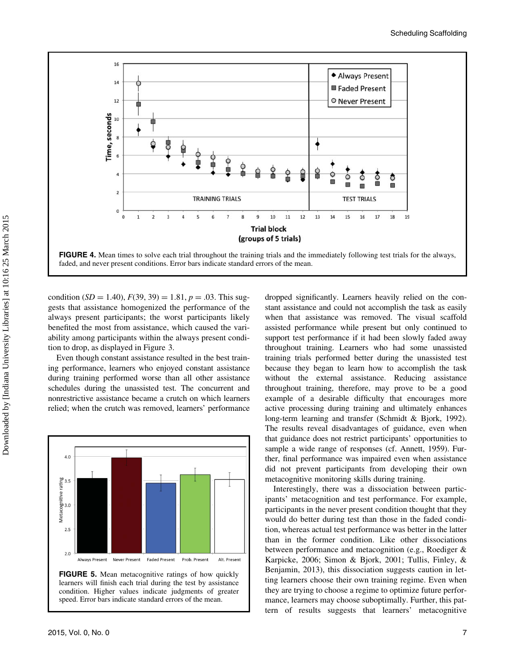

FIGURE 4. Mean times to solve each trial throughout the training trials and the immediately following test trials for the always, faded, and never present conditions. Error bars indicate standard errors of the mean.

condition (SD = 1.40),  $F(39, 39) = 1.81, p = .03$ . This suggests that assistance homogenized the performance of the always present participants; the worst participants likely benefited the most from assistance, which caused the variability among participants within the always present condition to drop, as displayed in Figure 3.

Even though constant assistance resulted in the best training performance, learners who enjoyed constant assistance during training performed worse than all other assistance schedules during the unassisted test. The concurrent and nonrestrictive assistance became a crutch on which learners relied; when the crutch was removed, learners' performance



dropped significantly. Learners heavily relied on the constant assistance and could not accomplish the task as easily when that assistance was removed. The visual scaffold assisted performance while present but only continued to support test performance if it had been slowly faded away throughout training. Learners who had some unassisted training trials performed better during the unassisted test because they began to learn how to accomplish the task without the external assistance. Reducing assistance throughout training, therefore, may prove to be a good example of a desirable difficulty that encourages more active processing during training and ultimately enhances long-term learning and transfer (Schmidt & Bjork, 1992). The results reveal disadvantages of guidance, even when that guidance does not restrict participants' opportunities to sample a wide range of responses (cf. Annett, 1959). Further, final performance was impaired even when assistance did not prevent participants from developing their own metacognitive monitoring skills during training.

Interestingly, there was a dissociation between participants' metacognition and test performance. For example, participants in the never present condition thought that they would do better during test than those in the faded condition, whereas actual test performance was better in the latter than in the former condition. Like other dissociations between performance and metacognition (e.g., Roediger & Karpicke, 2006; Simon & Bjork, 2001; Tullis, Finley, & Benjamin, 2013), this dissociation suggests caution in letting learners choose their own training regime. Even when they are trying to choose a regime to optimize future performance, learners may choose suboptimally. Further, this pattern of results suggests that learners' metacognitive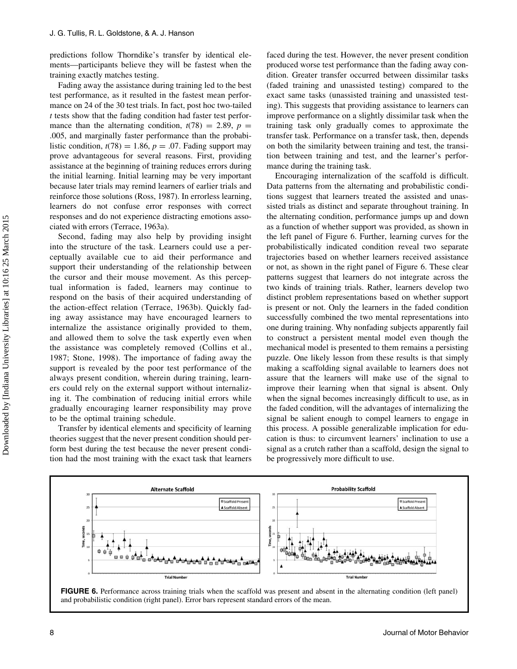predictions follow Thorndike's transfer by identical elements—participants believe they will be fastest when the training exactly matches testing.

Fading away the assistance during training led to the best test performance, as it resulted in the fastest mean performance on 24 of the 30 test trials. In fact, post hoc two-tailed t tests show that the fading condition had faster test performance than the alternating condition,  $t(78) = 2.89$ ,  $p =$ .005, and marginally faster performance than the probabilistic condition,  $t(78) = 1.86$ ,  $p = .07$ . Fading support may prove advantageous for several reasons. First, providing assistance at the beginning of training reduces errors during the initial learning. Initial learning may be very important because later trials may remind learners of earlier trials and reinforce those solutions (Ross, 1987). In errorless learning, learners do not confuse error responses with correct responses and do not experience distracting emotions associated with errors (Terrace, 1963a).

Second, fading may also help by providing insight into the structure of the task. Learners could use a perceptually available cue to aid their performance and support their understanding of the relationship between the cursor and their mouse movement. As this perceptual information is faded, learners may continue to respond on the basis of their acquired understanding of the action-effect relation (Terrace, 1963b). Quickly fading away assistance may have encouraged learners to internalize the assistance originally provided to them, and allowed them to solve the task expertly even when the assistance was completely removed (Collins et al., 1987; Stone, 1998). The importance of fading away the support is revealed by the poor test performance of the always present condition, wherein during training, learners could rely on the external support without internalizing it. The combination of reducing initial errors while gradually encouraging learner responsibility may prove to be the optimal training schedule.

Transfer by identical elements and specificity of learning theories suggest that the never present condition should perform best during the test because the never present condition had the most training with the exact task that learners faced during the test. However, the never present condition produced worse test performance than the fading away condition. Greater transfer occurred between dissimilar tasks (faded training and unassisted testing) compared to the exact same tasks (unassisted training and unassisted testing). This suggests that providing assistance to learners can improve performance on a slightly dissimilar task when the training task only gradually comes to approximate the transfer task. Performance on a transfer task, then, depends on both the similarity between training and test, the transition between training and test, and the learner's performance during the training task.

Encouraging internalization of the scaffold is difficult. Data patterns from the alternating and probabilistic conditions suggest that learners treated the assisted and unassisted trials as distinct and separate throughout training. In the alternating condition, performance jumps up and down as a function of whether support was provided, as shown in the left panel of Figure 6. Further, learning curves for the probabilistically indicated condition reveal two separate trajectories based on whether learners received assistance or not, as shown in the right panel of Figure 6. These clear patterns suggest that learners do not integrate across the two kinds of training trials. Rather, learners develop two distinct problem representations based on whether support is present or not. Only the learners in the faded condition successfully combined the two mental representations into one during training. Why nonfading subjects apparently fail to construct a persistent mental model even though the mechanical model is presented to them remains a persisting puzzle. One likely lesson from these results is that simply making a scaffolding signal available to learners does not assure that the learners will make use of the signal to improve their learning when that signal is absent. Only when the signal becomes increasingly difficult to use, as in the faded condition, will the advantages of internalizing the signal be salient enough to compel learners to engage in this process. A possible generalizable implication for education is thus: to circumvent learners' inclination to use a signal as a crutch rather than a scaffold, design the signal to be progressively more difficult to use.



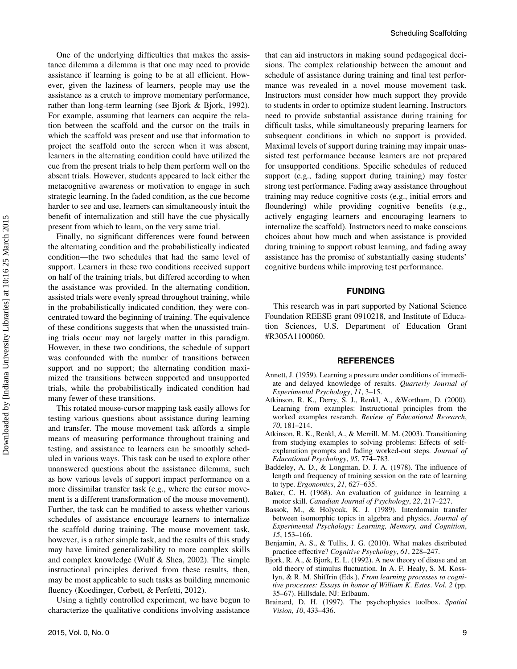One of the underlying difficulties that makes the assistance dilemma a dilemma is that one may need to provide assistance if learning is going to be at all efficient. However, given the laziness of learners, people may use the assistance as a crutch to improve momentary performance, rather than long-term learning (see Bjork & Bjork, 1992). For example, assuming that learners can acquire the relation between the scaffold and the cursor on the trails in which the scaffold was present and use that information to project the scaffold onto the screen when it was absent, learners in the alternating condition could have utilized the cue from the present trials to help them perform well on the absent trials. However, students appeared to lack either the metacognitive awareness or motivation to engage in such strategic learning. In the faded condition, as the cue become harder to see and use, learners can simultaneously intuit the benefit of internalization and still have the cue physically present from which to learn, on the very same trial.

Finally, no significant differences were found between the alternating condition and the probabilistically indicated condition—the two schedules that had the same level of support. Learners in these two conditions received support on half of the training trials, but differed according to when the assistance was provided. In the alternating condition, assisted trials were evenly spread throughout training, while in the probabilistically indicated condition, they were concentrated toward the beginning of training. The equivalence of these conditions suggests that when the unassisted training trials occur may not largely matter in this paradigm. However, in these two conditions, the schedule of support was confounded with the number of transitions between support and no support; the alternating condition maximized the transitions between supported and unsupported trials, while the probabilistically indicated condition had many fewer of these transitions.

This rotated mouse-cursor mapping task easily allows for testing various questions about assistance during learning and transfer. The mouse movement task affords a simple means of measuring performance throughout training and testing, and assistance to learners can be smoothly scheduled in various ways. This task can be used to explore other unanswered questions about the assistance dilemma, such as how various levels of support impact performance on a more dissimilar transfer task (e.g., where the cursor movement is a different transformation of the mouse movement). Further, the task can be modified to assess whether various schedules of assistance encourage learners to internalize the scaffold during training. The mouse movement task, however, is a rather simple task, and the results of this study may have limited generalizability to more complex skills and complex knowledge (Wulf & Shea, 2002). The simple instructional principles derived from these results, then, may be most applicable to such tasks as building mnemonic fluency (Koedinger, Corbett, & Perfetti, 2012).

Using a tightly controlled experiment, we have begun to characterize the qualitative conditions involving assistance

that can aid instructors in making sound pedagogical decisions. The complex relationship between the amount and schedule of assistance during training and final test performance was revealed in a novel mouse movement task. Instructors must consider how much support they provide to students in order to optimize student learning. Instructors need to provide substantial assistance during training for difficult tasks, while simultaneously preparing learners for subsequent conditions in which no support is provided. Maximal levels of support during training may impair unassisted test performance because learners are not prepared for unsupported conditions. Specific schedules of reduced support (e.g., fading support during training) may foster strong test performance. Fading away assistance throughout training may reduce cognitive costs (e.g., initial errors and floundering) while providing cognitive benefits (e.g., actively engaging learners and encouraging learners to internalize the scaffold). Instructors need to make conscious choices about how much and when assistance is provided during training to support robust learning, and fading away assistance has the promise of substantially easing students' cognitive burdens while improving test performance.

## FUNDING

This research was in part supported by National Science Foundation REESE grant 0910218, and Institute of Education Sciences, U.S. Department of Education Grant #R305A1100060.

#### **REFERENCES**

- Annett, J. (1959). Learning a pressure under conditions of immediate and delayed knowledge of results. Quarterly Journal of Experimental Psychology, 11, 3–15.
- Atkinson, R. K., Derry, S. J., Renkl, A., &Wortham, D. (2000). Learning from examples: Instructional principles from the worked examples research. Review of Educational Research, 70, 181–214.
- Atkinson, R. K., Renkl, A., & Merrill, M. M. (2003). Transitioning from studying examples to solving problems: Effects of selfexplanation prompts and fading worked-out steps. Journal of Educational Psychology, 95, 774–783.
- Baddeley, A. D., & Longman, D. J. A. (1978). The influence of length and frequency of training session on the rate of learning to type. Ergonomics, 21, 627–635.
- Baker, C. H. (1968). An evaluation of guidance in learning a motor skill. Canadian Journal of Psychology, 22, 217–227.
- Bassok, M., & Holyoak, K. J. (1989). Interdomain transfer between isomorphic topics in algebra and physics. Journal of Experimental Psychology: Learning, Memory, and Cognition, 15, 153–166.
- Benjamin, A. S., & Tullis, J. G. (2010). What makes distributed practice effective? Cognitive Psychology, 61, 228–247.
- Bjork, R. A., & Bjork, E. L. (1992). A new theory of disuse and an old theory of stimulus fluctuation. In A. F. Healy, S. M. Kosslyn, & R. M. Shiffrin (Eds.), From learning processes to cognitive processes: Essays in honor of William K. Estes. Vol. 2 (pp. 35–67). Hillsdale, NJ: Erlbaum.
- Brainard, D. H. (1997). The psychophysics toolbox. Spatial Vision, 10, 433–436.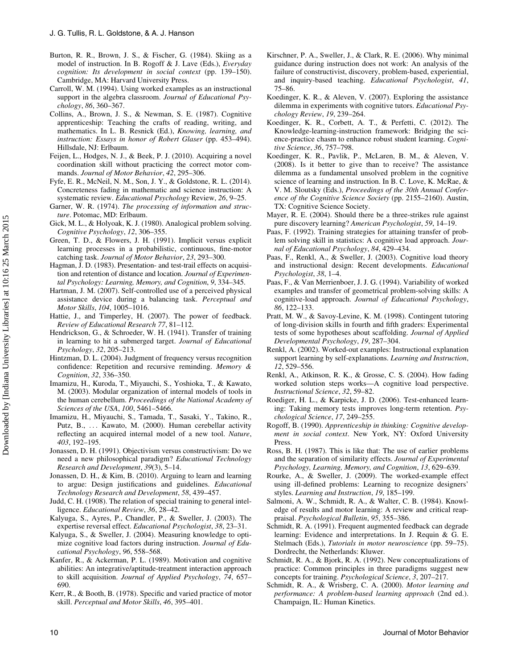- Burton, R. R., Brown, J. S., & Fischer, G. (1984). Skiing as a model of instruction. In B. Rogoff & J. Lave (Eds.), Everyday cognition: Its development in social context (pp. 139–150). Cambridge, MA: Harvard University Press.
- Carroll, W. M. (1994). Using worked examples as an instructional support in the algebra classroom. Journal of Educational Psychology, 86, 360–367.
- Collins, A., Brown, J. S., & Newman, S. E. (1987). Cognitive apprenticeship: Teaching the crafts of reading, writing, and mathematics. In L. B. Resnick (Ed.), Knowing, learning, and instruction: Essays in honor of Robert Glaser (pp. 453–494). Hillsdale, NJ: Erlbaum.
- Feijen, L., Hodges, N. J., & Beek, P. J. (2010). Acquiring a novel coordination skill without practicing the correct motor commands. Journal of Motor Behavior, 42, 295–306.
- Fyfe, E. R., McNeil, N. M., Son, J. Y., & Goldstone, R. L. (2014). Concreteness fading in mathematic and science instruction: A systematic review. Educational Psychology Review, 26, 9–25.
- Garner, W. R. (1974). The processing of information and structure. Potomac, MD: Erlbaum.
- Gick, M. L., & Holyoak, K. J. (1980). Analogical problem solving. Cognitive Psychology, 12, 306–355.
- Green, T. D., & Flowers, J. H. (1991). Implicit versus explicit learning processes in a probabilistic, continuous, fine-motor catching task. Journal of Motor Behavior, 23, 293–300.
- Hagman, J. D. (1983). Presentation- and test-trail effects on acquisition and retention of distance and location. Journal of Experimental Psychology: Learning, Memory, and Cognition, 9, 334–345.
- Hartman, J. M. (2007). Self-controlled use of a perceived physical assistance device during a balancing task. Perceptual and Motor Skills, 104, 1005–1016.
- Hattie, J., and Timperley, H. (2007). The power of feedback. Review of Educational Research 77, 81–112.
- Hendrickson, G., & Schroeder, W. H. (1941). Transfer of training in learning to hit a submerged target. Journal of Educational Psychology, 32, 205–213.
- Hintzman, D. L. (2004). Judgment of frequency versus recognition confidence: Repetition and recursive reminding. Memory & Cognition, 32, 336–350.
- Imamizu, H., Kuroda, T., Miyauchi, S., Yoshioka, T., & Kawato, M. (2003). Modular organization of internal models of tools in the human cerebellum. Proceedings of the National Academy of Sciences of the USA, 100, 5461–5466.
- Imamizu, H., Miyauchi, S., Tamada, T., Sasaki, Y., Takino, R., Putz, B., ... Kawato, M. (2000). Human cerebellar activity reflecting an acquired internal model of a new tool. Nature, 403, 192–195.
- Jonassen, D. H. (1991). Objectivism versus constructivism: Do we need a new philosophical paradigm? Educational Technology Research and Development, 39(3), 5–14.
- Jonassen, D. H., & Kim, B. (2010). Arguing to learn and learning to argue: Design justifications and guidelines. Educational Technology Research and Development, 58, 439–457.
- Judd, C. H. (1908). The relation of special training to general intelligence. Educational Review, 36, 28–42.
- Kalyuga, S., Ayres, P., Chandler, P., & Sweller, J. (2003). The expertise reversal effect. Educational Psychologist, 38, 23–31.
- Kalyuga, S., & Sweller, J. (2004). Measuring knowledge to optimize cognitive load factors during instruction. Journal of Educational Psychology, 96, 558–568.
- Kanfer, R., & Ackerman, P. L. (1989). Motivation and cognitive abilities: An integrative/aptitude-treatment interaction approach to skill acquisition. Journal of Applied Psychology, 74, 657– 690.
- Kerr, R., & Booth, B. (1978). Specific and varied practice of motor skill. Perceptual and Motor Skills, 46, 395–401.
- Kirschner, P. A., Sweller, J., & Clark, R. E. (2006). Why minimal guidance during instruction does not work: An analysis of the failure of constructivist, discovery, problem-based, experiential, and inquiry-based teaching. Educational Psychologist, 41, 75–86.
- Koedinger, K. R., & Aleven, V. (2007). Exploring the assistance dilemma in experiments with cognitive tutors. Educational Psychology Review, 19, 239–264.
- Koedinger, K. R., Corbett, A. T., & Perfetti, C. (2012). The Knowledge-learning-instruction framework: Bridging the science-practice chasm to enhance robust student learning. Cognitive Science, 36, 757–798.
- Koedinger, K. R., Pavlik, P., McLaren, B. M., & Aleven, V. (2008). Is it better to give than to receive? The assistance dilemma as a fundamental unsolved problem in the cognitive science of learning and instruction. In B. C. Love, K. McRae, & V. M. Sloutsky (Eds.), Proceedings of the 30th Annual Conference of the Cognitive Science Society (pp. 2155–2160). Austin, TX: Cognitive Science Society.
- Mayer, R. E. (2004). Should there be a three-strikes rule against pure discovery learning? American Psychologist, 59, 14–19.
- Paas, F. (1992). Training strategies for attaining transfer of problem solving skill in statistics: A cognitive load approach. Journal of Educational Psychology, 84, 429–434.
- Paas, F., Renkl, A., & Sweller, J. (2003). Cognitive load theory and instructional design: Recent developments. Educational Psychologist, 38, 1–4.
- Paas, F., & Van Merrienboer, J. J. G. (1994). Variability of worked examples and transfer of geometrical problem-solving skills: A cognitive-load approach. Journal of Educational Psychology, 86, 122–133.
- Pratt, M. W., & Savoy-Levine, K. M. (1998). Contingent tutoring of long-division skills in fourth and fifth graders: Experimental tests of some hypotheses about scaffolding. Journal of Applied Developmental Psychology, 19, 287–304.
- Renkl, A. (2002). Worked-out examples: Instructional explanation support learning by self-explanations. Learning and Instruction, 12, 529–556.
- Renkl, A., Atkinson, R. K., & Grosse, C. S. (2004). How fading worked solution steps works—A cognitive load perspective. Instructional Science, 32, 59–82.
- Roediger, H. L., & Karpicke, J. D. (2006). Test-enhanced learning: Taking memory tests improves long-term retention. Psychological Science, 17, 249–255.
- Rogoff, B. (1990). Apprenticeship in thinking: Cognitive development in social context. New York, NY: Oxford University Press.
- Ross, B. H. (1987). This is like that: The use of earlier problems and the separation of similarity effects. Journal of Experimental Psychology, Learning, Memory, and Cognition, 13, 629–639.
- Rourke, A., & Sweller, J. (2009). The worked-example effect using ill-defined problems: Learning to recognize designers' styles. Learning and Instruction, 19, 185–199.
- Salmoni, A. W., Schmidt, R. A., & Walter, C. B. (1984). Knowledge of results and motor learning: A review and critical reappraisal. Psychological Bulletin, 95, 355–386.
- Schmidt, R. A. (1991). Frequent augmented feedback can degrade learning: Evidence and interpretations. In J. Requin & G. E. Stelmach (Eds.), Tutorials in motor neuroscience (pp. 59–75). Dordrecht, the Netherlands: Kluwer.
- Schmidt, R. A., & Bjork, R. A. (1992). New conceptualizations of practice: Common principles in three paradigms suggest new concepts for training. Psychological Science, 3, 207–217.
- Schmidt, R. A., & Wrisberg, C. A. (2000). Motor learning and performance: A problem-based learning approach (2nd ed.). Champaign, IL: Human Kinetics.